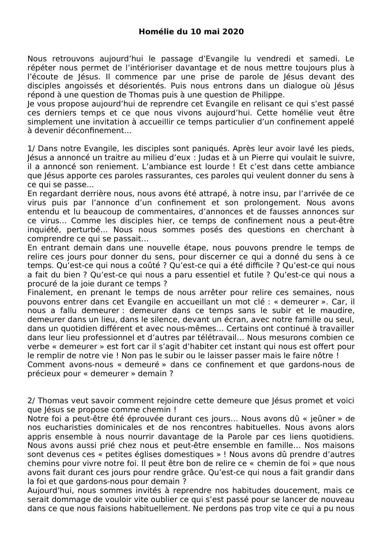Nous retrouvons aujourd'hui le passage d'Evangile lu vendredi et samedi. Le répéter nous permet de l'intérioriser davantage et de nous mettre toujours plus à l'écoute de Jésus. Il commence par une prise de parole de Jésus devant des disciples angoissés et désorientés. Puis nous entrons dans un dialogue où lésus répond à une question de Thomas puis à une question de Philippe.

le vous propose aujourd'hui de reprendre cet Evangile en relisant ce qui s'est passé ces derniers temps et ce que nous vivons aujourd'hui. Cette homélie veut être simplement une invitation à accueillir ce temps particulier d'un confinement appelé à devenir déconfinement...

1/ Dans notre Evangile, les disciples sont paniqués. Après leur avoir lavé les pieds, Jésus a annoncé un traitre au milieu d'eux : Judas et à un Pierre qui voulait le suivre, il a annoncé son reniement. L'ambiance est lourde ! Et c'est dans cette ambiance que Jésus apporte ces paroles rassurantes, ces paroles qui veulent donner du sens à ce qui se passe...

En regardant derrière nous, nous avons été attrapé, à notre insu, par l'arrivée de ce virus puis par l'annonce d'un confinement et son prolongement. Nous avons entendu et lu beaucoup de commentaires, d'annonces et de fausses annonces sur ce virus... Comme les disciples hier, ce temps de confinement nous a peut-être inquiété, perturbé... Nous nous sommes posés des questions en cherchant à comprendre ce qui se passait...

En entrant demain dans une nouvelle étape, nous pouvons prendre le temps de relire ces jours pour donner du sens, pour discerner ce qui a donné du sens à ce temps. Qu'est-ce qui nous a coûté ? Qu'est-ce qui a été difficile ? Qu'est-ce qui nous a fait du bien ? Qu'est-ce qui nous a paru essentiel et futile ? Qu'est-ce qui nous a procuré de la joie durant ce temps ?

Finalement, en prenant le temps de nous arrêter pour relire ces semaines, nous pouvons entrer dans cet Evangile en accueillant un mot clé : « demeurer ». Car, il nous a fallu demeurer : demeurer dans ce temps sans le subir et le maudire, demeurer dans un lieu, dans le silence, devant un écran, avec notre famille ou seul, dans un quotidien différent et avec nous-mêmes... Certains ont continué à travailler dans leur lieu professionnel et d'autres par télétravail... Nous mesurons combien ce verbe « demeurer » est fort car il s'agit d'habiter cet instant qui nous est offert pour le remplir de notre vie ! Non pas le subir ou le laisser passer mais le faire nôtre ! Comment avons-nous « demeuré » dans ce confinement et que gardons-nous de précieux pour « demeurer » demain ?

2/ Thomas veut savoir comment rejoindre cette demeure que Jésus promet et voici que lésus se propose comme chemin!

Notre foi a peut-être été éprouvée durant ces jours... Nous avons dû « jeûner » de nos eucharisties dominicales et de nos rencontres habituelles. Nous avons alors appris ensemble à nous nourrir davantage de la Parole par ces liens quotidiens. Nous avons aussi prié chez nous et peut-être ensemble en famille... Nos maisons sont devenus ces « petites églises domestiques » ! Nous avons dû prendre d'autres chemins pour vivre notre foi. Il peut être bon de relire ce « chemin de foi » que nous avons fait durant ces jours pour rendre grâce. Qu'est-ce qui nous a fait grandir dans la foi et que gardons-nous pour demain ?

Aujourd'hui, nous sommes invités à reprendre nos habitudes doucement, mais ce serait dommage de vouloir vite oublier ce qui s'est passé pour se lancer de nouveau dans ce que nous faisions habituellement. Ne perdons pas trop vite ce qui a pu nous